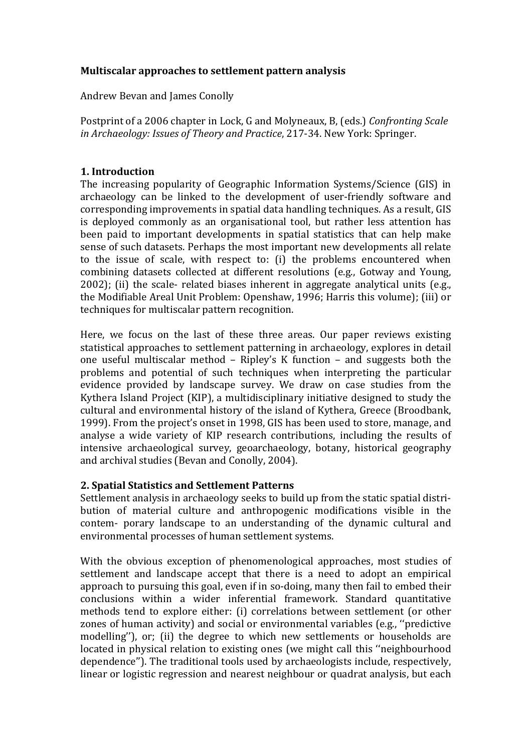## **Multiscalar approaches to settlement pattern analysis**

Andrew Bevan and James Conolly

Postprint of a 2006 chapter in Lock, G and Molyneaux, B, (eds.) *Confronting Scale in Archaeology: Issues of Theory and Practice, 217-34. New York: Springer.* 

# **1. Introduction**

The increasing popularity of Geographic Information Systems/Science (GIS) in archaeology can be linked to the development of user-friendly software and corresponding improvements in spatial data handling techniques. As a result, GIS is deployed commonly as an organisational tool, but rather less attention has been paid to important developments in spatial statistics that can help make sense of such datasets. Perhaps the most important new developments all relate to the issue of scale, with respect to: (i) the problems encountered when combining datasets collected at different resolutions (e.g., Gotway and Young, 2002); (ii) the scale- related biases inherent in aggregate analytical units (e.g., the Modifiable Areal Unit Problem: Openshaw, 1996; Harris this volume); (iii) or techniques for multiscalar pattern recognition.

Here, we focus on the last of these three areas. Our paper reviews existing statistical approaches to settlement patterning in archaeology, explores in detail one useful multiscalar method – Ripley's K function – and suggests both the problems and potential of such techniques when interpreting the particular evidence provided by landscape survey. We draw on case studies from the Kythera Island Project (KIP), a multidisciplinary initiative designed to study the cultural and environmental history of the island of Kythera, Greece (Broodbank, 1999). From the project's onset in 1998, GIS has been used to store, manage, and analyse a wide variety of KIP research contributions, including the results of intensive archaeological survey, geoarchaeology, botany, historical geography and archival studies (Bevan and Conolly, 2004).

# **2. Spatial Statistics and Settlement Patterns**

Settlement analysis in archaeology seeks to build up from the static spatial distribution of material culture and anthropogenic modifications visible in the contem- porary landscape to an understanding of the dynamic cultural and environmental processes of human settlement systems.

With the obvious exception of phenomenological approaches, most studies of settlement and landscape accept that there is a need to adopt an empirical approach to pursuing this goal, even if in so-doing, many then fail to embed their conclusions within a wider inferential framework. Standard quantitative methods tend to explore either: (i) correlations between settlement (or other zones of human activity) and social or environmental variables (e.g., "predictive modelling''), or; (ii) the degree to which new settlements or households are located in physical relation to existing ones (we might call this "neighbourhood dependence"). The traditional tools used by archaeologists include, respectively. linear or logistic regression and nearest neighbour or quadrat analysis, but each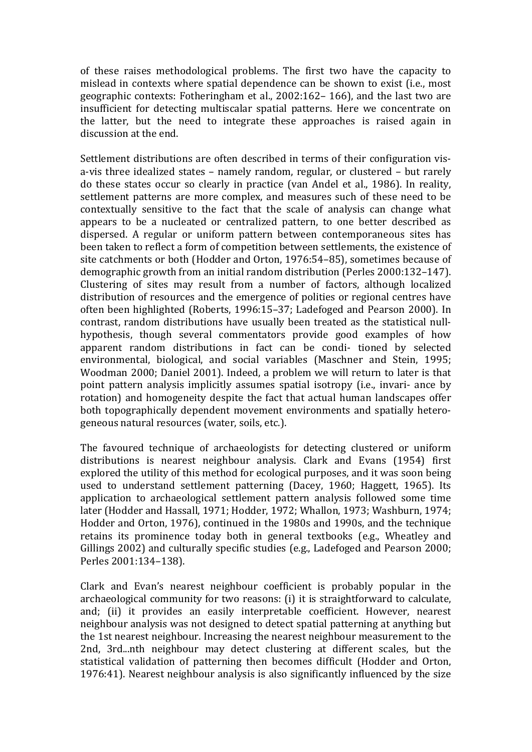of these raises methodological problems. The first two have the capacity to mislead in contexts where spatial dependence can be shown to exist (i.e., most geographic contexts: Fotheringham et al., 2002:162– 166), and the last two are insufficient for detecting multiscalar spatial patterns. Here we concentrate on the latter, but the need to integrate these approaches is raised again in discussion at the end.

Settlement distributions are often described in terms of their configuration visa-vis three idealized states – namely random, regular, or clustered – but rarely do these states occur so clearly in practice (van Andel et al., 1986). In reality, settlement patterns are more complex, and measures such of these need to be contextually sensitive to the fact that the scale of analysis can change what appears to be a nucleated or centralized pattern, to one better described as dispersed. A regular or uniform pattern between contemporaneous sites has been taken to reflect a form of competition between settlements, the existence of site catchments or both (Hodder and Orton, 1976:54–85), sometimes because of demographic growth from an initial random distribution (Perles 2000:132–147). Clustering of sites may result from a number of factors, although localized distribution of resources and the emergence of polities or regional centres have often been highlighted (Roberts, 1996:15-37; Ladefoged and Pearson 2000). In contrast, random distributions have usually been treated as the statistical nullhypothesis, though several commentators provide good examples of how apparent random distributions in fact can be condi- tioned by selected environmental, biological, and social variables (Maschner and Stein, 1995; Woodman 2000; Daniel 2001). Indeed, a problem we will return to later is that point pattern analysis implicitly assumes spatial isotropy (i.e., invari- ance by rotation) and homogeneity despite the fact that actual human landscapes offer both topographically dependent movement environments and spatially heterogeneous natural resources (water, soils, etc.).

The favoured technique of archaeologists for detecting clustered or uniform distributions is nearest neighbour analysis. Clark and Evans (1954) first explored the utility of this method for ecological purposes, and it was soon being used to understand settlement patterning (Dacey, 1960; Haggett, 1965). Its application to archaeological settlement pattern analysis followed some time later (Hodder and Hassall, 1971; Hodder, 1972; Whallon, 1973; Washburn, 1974; Hodder and Orton, 1976), continued in the 1980s and 1990s, and the technique retains its prominence today both in general textbooks (e.g., Wheatley and Gillings 2002) and culturally specific studies (e.g., Ladefoged and Pearson 2000; Perles 2001:134–138).

Clark and Evan's nearest neighbour coefficient is probably popular in the archaeological community for two reasons:  $(i)$  it is straightforward to calculate, and; (ii) it provides an easily interpretable coefficient. However, nearest neighbour analysis was not designed to detect spatial patterning at anything but the 1st nearest neighbour. Increasing the nearest neighbour measurement to the 2nd, 3rd...nth neighbour may detect clustering at different scales, but the statistical validation of patterning then becomes difficult (Hodder and Orton, 1976:41). Nearest neighbour analysis is also significantly influenced by the size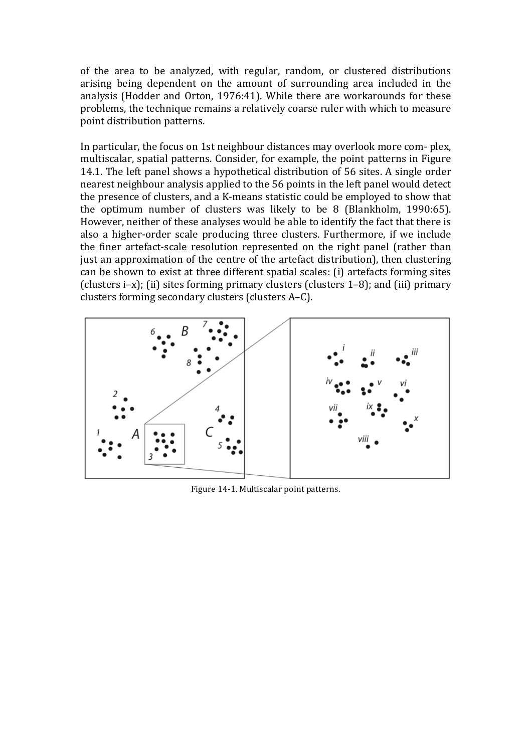of the area to be analyzed, with regular, random, or clustered distributions arising being dependent on the amount of surrounding area included in the analysis (Hodder and Orton, 1976:41). While there are workarounds for these problems, the technique remains a relatively coarse ruler with which to measure point distribution patterns.

In particular, the focus on 1st neighbour distances may overlook more com- plex, multiscalar, spatial patterns. Consider, for example, the point patterns in Figure 14.1. The left panel shows a hypothetical distribution of 56 sites. A single order nearest neighbour analysis applied to the 56 points in the left panel would detect the presence of clusters, and a K-means statistic could be employed to show that the optimum number of clusters was likely to be 8 (Blankholm, 1990:65). However, neither of these analyses would be able to identify the fact that there is also a higher-order scale producing three clusters. Furthermore, if we include the finer artefact-scale resolution represented on the right panel (rather than just an approximation of the centre of the artefact distribution), then clustering can be shown to exist at three different spatial scales: (i) artefacts forming sites (clusters  $i-x$ ); (ii) sites forming primary clusters (clusters  $1-8$ ); and (iii) primary clusters forming secondary clusters (clusters A–C).



Figure 14-1. Multiscalar point patterns.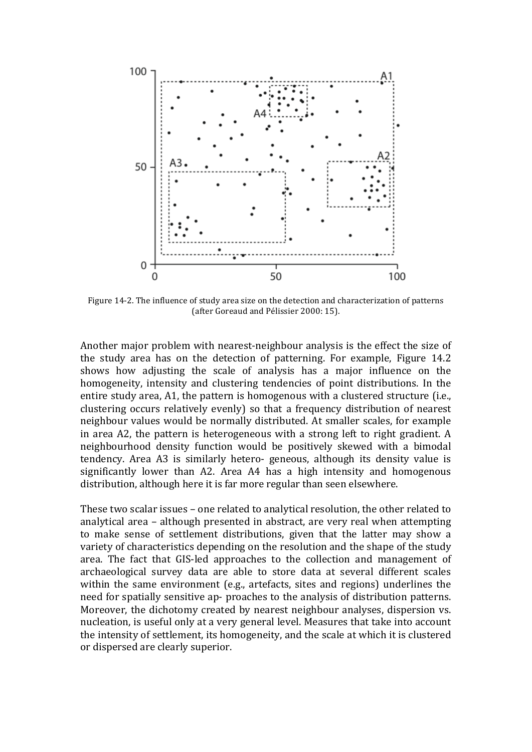

Figure 14-2. The influence of study area size on the detection and characterization of patterns (after Goreaud and Pélissier 2000: 15).

Another major problem with nearest-neighbour analysis is the effect the size of the study area has on the detection of patterning. For example, Figure 14.2 shows how adjusting the scale of analysis has a major influence on the homogeneity, intensity and clustering tendencies of point distributions. In the entire study area, A1, the pattern is homogenous with a clustered structure (i.e., clustering occurs relatively evenly) so that a frequency distribution of nearest neighbour values would be normally distributed. At smaller scales, for example in area A2, the pattern is heterogeneous with a strong left to right gradient. A neighbourhood density function would be positively skewed with a bimodal tendency. Area A3 is similarly hetero- geneous, although its density value is significantly lower than A2. Area A4 has a high intensity and homogenous distribution, although here it is far more regular than seen elsewhere.

These two scalar issues – one related to analytical resolution, the other related to analytical area – although presented in abstract, are very real when attempting to make sense of settlement distributions, given that the latter may show a variety of characteristics depending on the resolution and the shape of the study area. The fact that GIS-led approaches to the collection and management of archaeological survey data are able to store data at several different scales within the same environment (e.g., artefacts, sites and regions) underlines the need for spatially sensitive ap- proaches to the analysis of distribution patterns. Moreover, the dichotomy created by nearest neighbour analyses, dispersion vs. nucleation, is useful only at a very general level. Measures that take into account the intensity of settlement, its homogeneity, and the scale at which it is clustered or dispersed are clearly superior.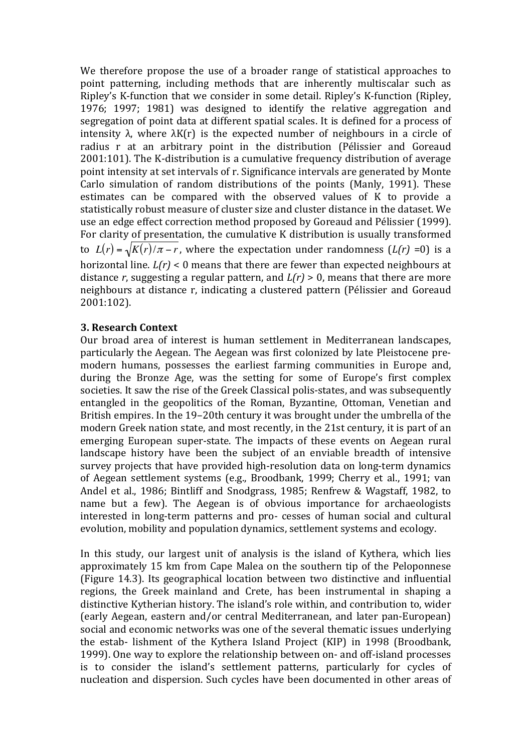We therefore propose the use of a broader range of statistical approaches to point patterning, including methods that are inherently multiscalar such as Ripley's K-function that we consider in some detail. Ripley's K-function (Ripley, 1976; 1997; 1981) was designed to identify the relative aggregation and segregation of point data at different spatial scales. It is defined for a process of intensity  $\lambda$ , where  $\lambda$ K(r) is the expected number of neighbours in a circle of radius r at an arbitrary point in the distribution (Pélissier and Goreaud  $2001:101$ ). The K-distribution is a cumulative frequency distribution of average point intensity at set intervals of r. Significance intervals are generated by Monte Carlo simulation of random distributions of the points (Manly, 1991). These estimates can be compared with the observed values of K to provide a statistically robust measure of cluster size and cluster distance in the dataset. We use an edge effect correction method proposed by Goreaud and Pélissier (1999). For clarity of presentation, the cumulative K distribution is usually transformed to  $L(r) = \sqrt{K(r)/\pi - r}$ , where the expectation under randomness ( $L(r)$  =0) is a horizontal line.  $L(r)$  < 0 means that there are fewer than expected neighbours at distance *r*, suggesting a regular pattern, and  $L(r) > 0$ , means that there are more neighbours at distance r, indicating a clustered pattern (Pélissier and Goreaud 2001:102).

### **3. Research Context**

Our broad area of interest is human settlement in Mediterranean landscapes, particularly the Aegean. The Aegean was first colonized by late Pleistocene premodern humans, possesses the earliest farming communities in Europe and, during the Bronze Age, was the setting for some of Europe's first complex societies. It saw the rise of the Greek Classical polis-states, and was subsequently entangled in the geopolitics of the Roman, Byzantine, Ottoman, Venetian and British empires. In the 19-20th century it was brought under the umbrella of the modern Greek nation state, and most recently, in the 21st century, it is part of an emerging European super-state. The impacts of these events on Aegean rural landscape history have been the subject of an enviable breadth of intensive survey projects that have provided high-resolution data on long-term dynamics of Aegean settlement systems (e.g., Broodbank, 1999; Cherry et al., 1991; van Andel et al., 1986; Bintliff and Snodgrass, 1985; Renfrew & Wagstaff, 1982. to name but a few). The Aegean is of obvious importance for archaeologists interested in long-term patterns and pro- cesses of human social and cultural evolution, mobility and population dynamics, settlement systems and ecology.

In this study, our largest unit of analysis is the island of Kythera, which lies approximately 15 km from Cape Malea on the southern tip of the Peloponnese (Figure 14.3). Its geographical location between two distinctive and influential regions, the Greek mainland and Crete, has been instrumental in shaping a distinctive Kytherian history. The island's role within, and contribution to, wider (early Aegean, eastern and/or central Mediterranean, and later pan-European) social and economic networks was one of the several thematic issues underlying the estab- lishment of the Kythera Island Project (KIP) in 1998 (Broodbank, 1999). One way to explore the relationship between on- and off-island processes is to consider the island's settlement patterns, particularly for cycles of nucleation and dispersion. Such cycles have been documented in other areas of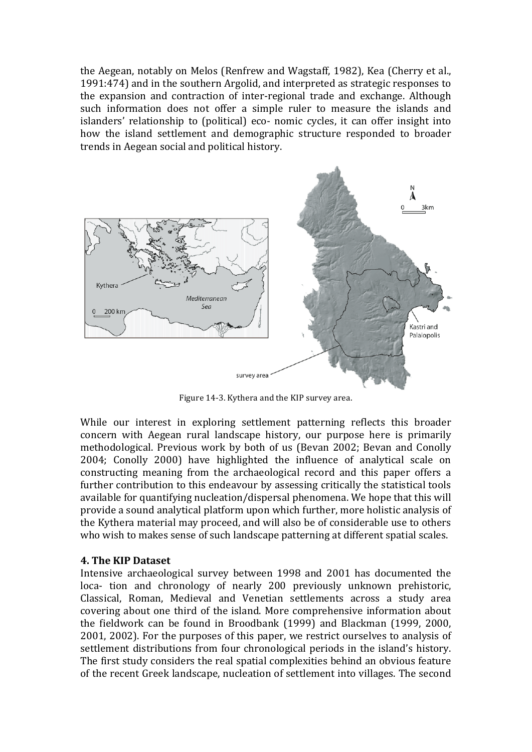the Aegean, notably on Melos (Renfrew and Wagstaff, 1982), Kea (Cherry et al., 1991:474) and in the southern Argolid, and interpreted as strategic responses to the expansion and contraction of inter-regional trade and exchange. Although such information does not offer a simple ruler to measure the islands and islanders' relationship to (political) eco- nomic cycles, it can offer insight into how the island settlement and demographic structure responded to broader trends in Aegean social and political history.



Figure 14-3. Kythera and the KIP survey area.

While our interest in exploring settlement patterning reflects this broader concern with Aegean rural landscape history, our purpose here is primarily methodological. Previous work by both of us (Bevan 2002; Bevan and Conolly 2004; Conolly 2000) have highlighted the influence of analytical scale on constructing meaning from the archaeological record and this paper offers a further contribution to this endeavour by assessing critically the statistical tools available for quantifying nucleation/dispersal phenomena. We hope that this will provide a sound analytical platform upon which further, more holistic analysis of the Kythera material may proceed, and will also be of considerable use to others who wish to makes sense of such landscape patterning at different spatial scales.

#### **4. The KIP Dataset**

Intensive archaeological survey between 1998 and 2001 has documented the loca- tion and chronology of nearly 200 previously unknown prehistoric, Classical, Roman, Medieval and Venetian settlements across a study area covering about one third of the island. More comprehensive information about the fieldwork can be found in Broodbank (1999) and Blackman (1999, 2000, 2001, 2002). For the purposes of this paper, we restrict ourselves to analysis of settlement distributions from four chronological periods in the island's history. The first study considers the real spatial complexities behind an obvious feature of the recent Greek landscape, nucleation of settlement into villages. The second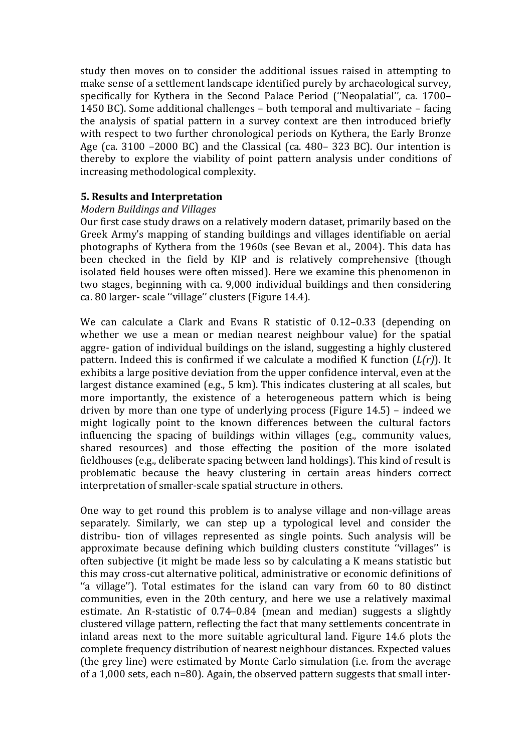study then moves on to consider the additional issues raised in attempting to make sense of a settlement landscape identified purely by archaeological survey, specifically for Kythera in the Second Palace Period ("Neopalatial", ca. 1700– 1450 BC). Some additional challenges – both temporal and multivariate – facing the analysis of spatial pattern in a survey context are then introduced briefly with respect to two further chronological periods on Kythera, the Early Bronze Age  $(ca. 3100 - 2000 \text{ BC})$  and the Classical  $(ca. 480 - 323 \text{ BC})$ . Our intention is thereby to explore the viability of point pattern analysis under conditions of increasing methodological complexity.

### **5. Results and Interpretation**

#### *Modern Buildings and Villages*

Our first case study draws on a relatively modern dataset, primarily based on the Greek Army's mapping of standing buildings and villages identifiable on aerial photographs of Kythera from the 1960s (see Bevan et al., 2004). This data has been checked in the field by KIP and is relatively comprehensive (though isolated field houses were often missed). Here we examine this phenomenon in two stages, beginning with ca. 9,000 individual buildings and then considering ca. 80 larger- scale "village" clusters (Figure 14.4).

We can calculate a Clark and Evans R statistic of  $0.12-0.33$  (depending on whether we use a mean or median nearest neighbour value) for the spatial aggre- gation of individual buildings on the island, suggesting a highly clustered pattern. Indeed this is confirmed if we calculate a modified K function  $(L(r))$ . It exhibits a large positive deviation from the upper confidence interval, even at the largest distance examined  $(e.g., 5 km)$ . This indicates clustering at all scales, but more importantly, the existence of a heterogeneous pattern which is being driven by more than one type of underlying process (Figure  $14.5$ ) – indeed we might logically point to the known differences between the cultural factors influencing the spacing of buildings within villages (e.g., community values, shared resources) and those effecting the position of the more isolated fieldhouses (e.g., deliberate spacing between land holdings). This kind of result is problematic because the heavy clustering in certain areas hinders correct interpretation of smaller-scale spatial structure in others.

One way to get round this problem is to analyse village and non-village areas separately. Similarly, we can step up a typological level and consider the distribu- tion of villages represented as single points. Such analysis will be approximate because defining which building clusters constitute "villages" is often subjective (it might be made less so by calculating a K means statistic but this may cross-cut alternative political, administrative or economic definitions of "a village"). Total estimates for the island can vary from  $60$  to  $80$  distinct communities, even in the 20th century, and here we use a relatively maximal estimate. An R-statistic of  $0.74-0.84$  (mean and median) suggests a slightly clustered village pattern, reflecting the fact that many settlements concentrate in inland areas next to the more suitable agricultural land. Figure 14.6 plots the complete frequency distribution of nearest neighbour distances. Expected values (the grey line) were estimated by Monte Carlo simulation (i.e. from the average of a  $1,000$  sets, each  $n=80$ ). Again, the observed pattern suggests that small inter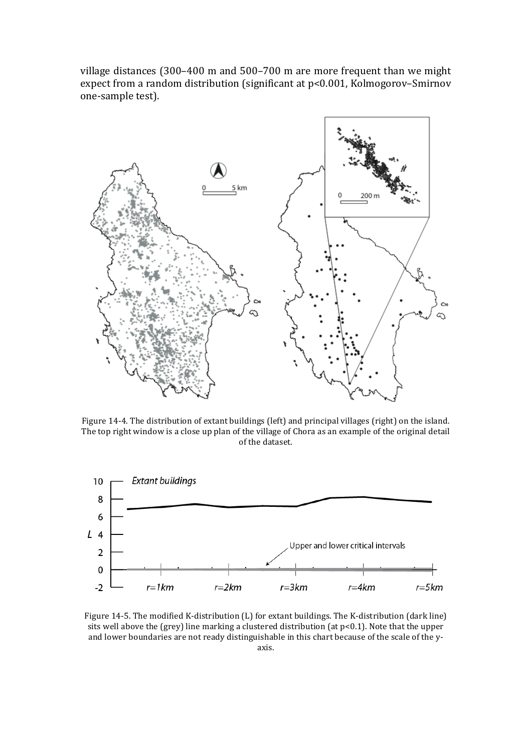village distances  $(300-400 \text{ m}$  and  $500-700 \text{ m}$  are more frequent than we might expect from a random distribution (significant at p<0.001, Kolmogorov–Smirnov one-sample test).



Figure 14-4. The distribution of extant buildings (left) and principal villages (right) on the island. The top right window is a close up plan of the village of Chora as an example of the original detail of the dataset.



Figure 14-5. The modified K-distribution (L) for extant buildings. The K-distribution (dark line) sits well above the (grey) line marking a clustered distribution (at  $p$  <0.1). Note that the upper and lower boundaries are not ready distinguishable in this chart because of the scale of the y-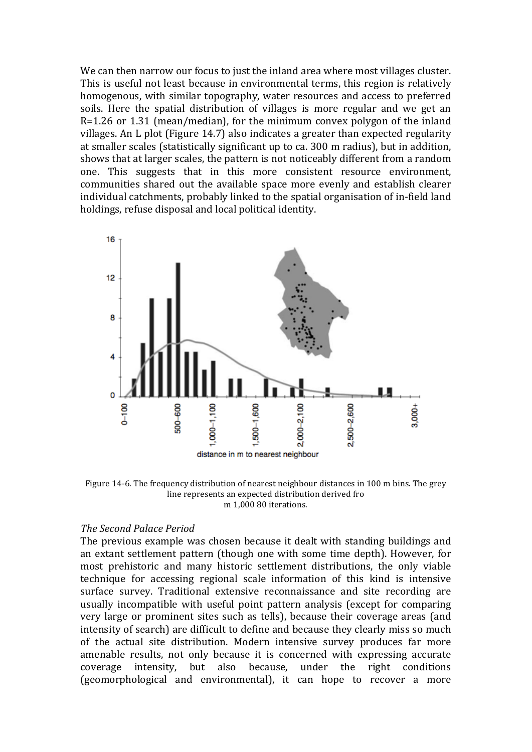We can then narrow our focus to just the inland area where most villages cluster. This is useful not least because in environmental terms, this region is relatively homogenous, with similar topography, water resources and access to preferred soils. Here the spatial distribution of villages is more regular and we get an  $R=1.26$  or 1.31 (mean/median), for the minimum convex polygon of the inland villages. An L plot (Figure 14.7) also indicates a greater than expected regularity at smaller scales (statistically significant up to ca. 300 m radius), but in addition, shows that at larger scales, the pattern is not noticeably different from a random one. This suggests that in this more consistent resource environment, communities shared out the available space more evenly and establish clearer individual catchments, probably linked to the spatial organisation of in-field land holdings, refuse disposal and local political identity.



Figure 14-6. The frequency distribution of nearest neighbour distances in 100 m bins. The grey line represents an expected distribution derived fro m 1,000 80 iterations.

#### *The Second Palace Period*

The previous example was chosen because it dealt with standing buildings and an extant settlement pattern (though one with some time depth). However, for most prehistoric and many historic settlement distributions, the only viable technique for accessing regional scale information of this kind is intensive surface survey. Traditional extensive reconnaissance and site recording are usually incompatible with useful point pattern analysis (except for comparing very large or prominent sites such as tells), because their coverage areas (and intensity of search) are difficult to define and because they clearly miss so much of the actual site distribution. Modern intensive survey produces far more amenable results, not only because it is concerned with expressing accurate coverage intensity, but also because, under the right conditions (geomorphological and environmental), it can hope to recover a more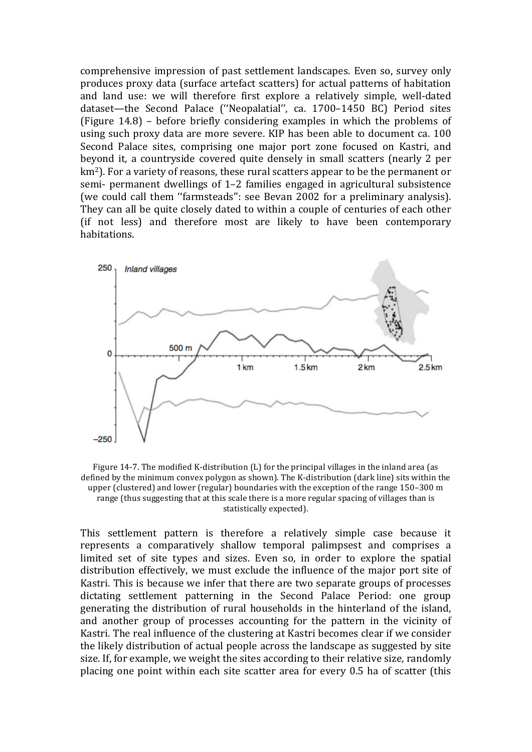comprehensive impression of past settlement landscapes. Even so, survey only produces proxy data (surface artefact scatters) for actual patterns of habitation and land use: we will therefore first explore a relatively simple, well-dated dataset—the Second Palace ("Neopalatial", ca. 1700–1450 BC) Period sites (Figure  $14.8$ ) – before briefly considering examples in which the problems of using such proxy data are more severe. KIP has been able to document ca. 100 Second Palace sites, comprising one major port zone focused on Kastri, and beyond it, a countryside covered quite densely in small scatters (nearly 2 per  $km<sup>2</sup>$ ). For a variety of reasons, these rural scatters appear to be the permanent or semi- permanent dwellings of 1–2 families engaged in agricultural subsistence (we could call them "farmsteads": see Bevan 2002 for a preliminary analysis). They can all be quite closely dated to within a couple of centuries of each other (if not less) and therefore most are likely to have been contemporary habitations.



Figure 14-7. The modified K-distribution (L) for the principal villages in the inland area (as defined by the minimum convex polygon as shown). The K-distribution (dark line) sits within the upper (clustered) and lower (regular) boundaries with the exception of the range 150-300 m range (thus suggesting that at this scale there is a more regular spacing of villages than is statistically expected).

This settlement pattern is therefore a relatively simple case because it represents a comparatively shallow temporal palimpsest and comprises a limited set of site types and sizes. Even so, in order to explore the spatial distribution effectively, we must exclude the influence of the major port site of Kastri. This is because we infer that there are two separate groups of processes dictating settlement patterning in the Second Palace Period: one group generating the distribution of rural households in the hinterland of the island, and another group of processes accounting for the pattern in the vicinity of Kastri. The real influence of the clustering at Kastri becomes clear if we consider the likely distribution of actual people across the landscape as suggested by site size. If, for example, we weight the sites according to their relative size, randomly placing one point within each site scatter area for every 0.5 ha of scatter (this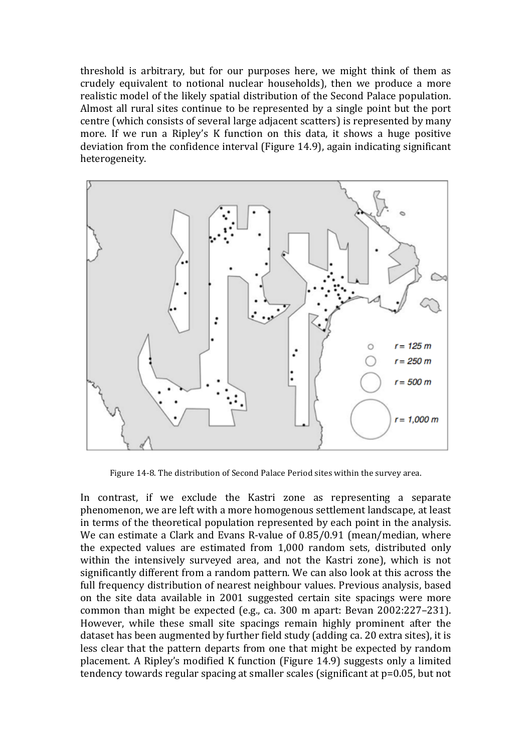threshold is arbitrary, but for our purposes here, we might think of them as crudely equivalent to notional nuclear households), then we produce a more realistic model of the likely spatial distribution of the Second Palace population. Almost all rural sites continue to be represented by a single point but the port centre (which consists of several large adjacent scatters) is represented by many more. If we run a Ripley's K function on this data, it shows a huge positive deviation from the confidence interval (Figure 14.9), again indicating significant heterogeneity.



Figure 14-8. The distribution of Second Palace Period sites within the survey area.

In contrast, if we exclude the Kastri zone as representing a separate phenomenon, we are left with a more homogenous settlement landscape, at least in terms of the theoretical population represented by each point in the analysis. We can estimate a Clark and Evans R-value of 0.85/0.91 (mean/median, where the expected values are estimated from 1,000 random sets, distributed only within the intensively surveyed area, and not the Kastri zone), which is not significantly different from a random pattern. We can also look at this across the full frequency distribution of nearest neighbour values. Previous analysis, based on the site data available in 2001 suggested certain site spacings were more common than might be expected  $(e.g., ca. 300 m apart: Bevan 2002:227-231)$ . However, while these small site spacings remain highly prominent after the dataset has been augmented by further field study (adding ca. 20 extra sites), it is less clear that the pattern departs from one that might be expected by random placement. A Ripley's modified K function (Figure 14.9) suggests only a limited tendency towards regular spacing at smaller scales (significant at p=0.05, but not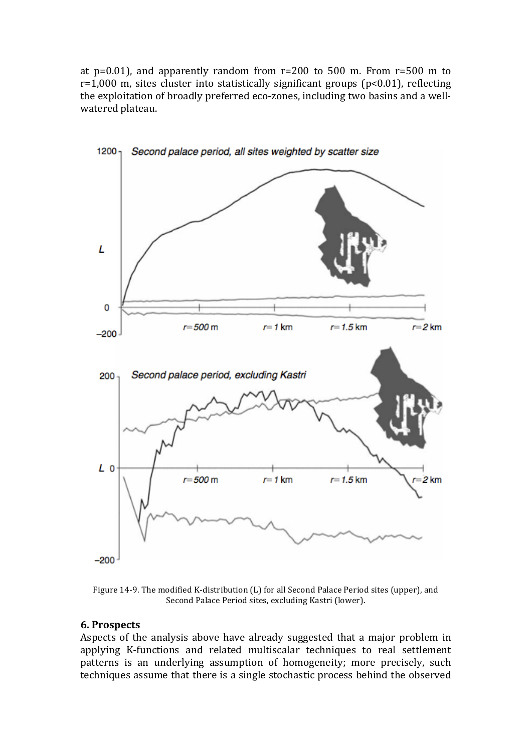at  $p=0.01$ ), and apparently random from  $r=200$  to 500 m. From  $r=500$  m to  $r=1,000$  m, sites cluster into statistically significant groups (p<0.01), reflecting the exploitation of broadly preferred eco-zones, including two basins and a wellwatered plateau.



Figure 14-9. The modified K-distribution (L) for all Second Palace Period sites (upper), and Second Palace Period sites, excluding Kastri (lower).

### **6. Prospects**

Aspects of the analysis above have already suggested that a major problem in applying K-functions and related multiscalar techniques to real settlement patterns is an underlying assumption of homogeneity; more precisely, such techniques assume that there is a single stochastic process behind the observed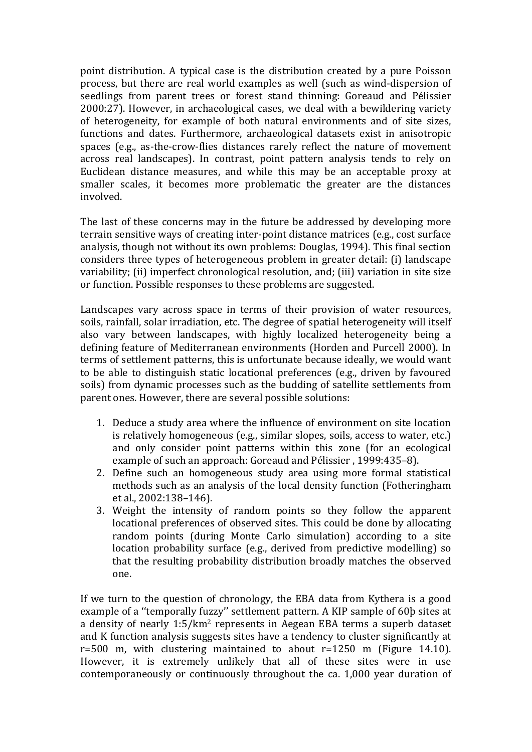point distribution. A typical case is the distribution created by a pure Poisson process, but there are real world examples as well (such as wind-dispersion of seedlings from parent trees or forest stand thinning: Goreaud and Pélissier  $2000:27$ ). However, in archaeological cases, we deal with a bewildering variety of heterogeneity, for example of both natural environments and of site sizes, functions and dates. Furthermore, archaeological datasets exist in anisotropic spaces (e.g., as-the-crow-flies distances rarely reflect the nature of movement across real landscapes). In contrast, point pattern analysis tends to rely on Euclidean distance measures, and while this may be an acceptable proxy at smaller scales, it becomes more problematic the greater are the distances involved.

The last of these concerns may in the future be addressed by developing more terrain sensitive ways of creating inter-point distance matrices (e.g., cost surface analysis, though not without its own problems: Douglas, 1994). This final section considers three types of heterogeneous problem in greater detail: (i) landscape variability; (ii) imperfect chronological resolution, and; (iii) variation in site size or function. Possible responses to these problems are suggested.

Landscapes vary across space in terms of their provision of water resources, soils, rainfall, solar irradiation, etc. The degree of spatial heterogeneity will itself also vary between landscapes, with highly localized heterogeneity being a defining feature of Mediterranean environments (Horden and Purcell 2000). In terms of settlement patterns, this is unfortunate because ideally, we would want to be able to distinguish static locational preferences (e.g., driven by favoured soils) from dynamic processes such as the budding of satellite settlements from parent ones. However, there are several possible solutions:

- 1. Deduce a study area where the influence of environment on site location is relatively homogeneous (e.g., similar slopes, soils, access to water, etc.) and only consider point patterns within this zone (for an ecological example of such an approach: Goreaud and Pélissier, 1999:435-8).
- 2. Define such an homogeneous study area using more formal statistical methods such as an analysis of the local density function (Fotheringham et al., 2002:138-146).
- 3. Weight the intensity of random points so they follow the apparent locational preferences of observed sites. This could be done by allocating random points (during Monte Carlo simulation) according to a site location probability surface (e.g., derived from predictive modelling) so that the resulting probability distribution broadly matches the observed one.

If we turn to the question of chronology, the EBA data from Kythera is a good example of a "temporally fuzzy" settlement pattern. A KIP sample of 60b sites at a density of nearly  $1:5/km^2$  represents in Aegean EBA terms a superb dataset and K function analysis suggests sites have a tendency to cluster significantly at  $r=500$  m, with clustering maintained to about  $r=1250$  m (Figure 14.10). However, it is extremely unlikely that all of these sites were in use contemporaneously or continuously throughout the ca. 1,000 year duration of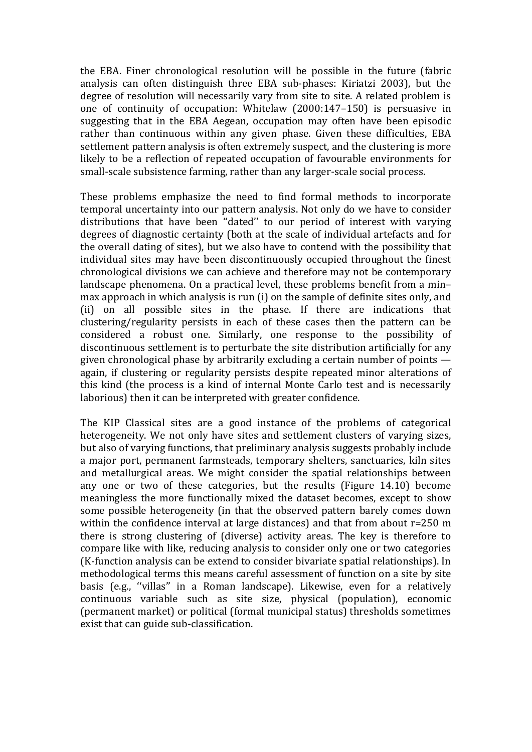the EBA. Finer chronological resolution will be possible in the future (fabric analysis can often distinguish three EBA sub-phases: Kiriatzi 2003), but the degree of resolution will necessarily vary from site to site. A related problem is one of continuity of occupation: Whitelaw  $(2000:147-150)$  is persuasive in suggesting that in the EBA Aegean, occupation may often have been episodic rather than continuous within any given phase. Given these difficulties, EBA settlement pattern analysis is often extremely suspect, and the clustering is more likely to be a reflection of repeated occupation of favourable environments for small-scale subsistence farming, rather than any larger-scale social process.

These problems emphasize the need to find formal methods to incorporate temporal uncertainty into our pattern analysis. Not only do we have to consider distributions that have been "dated" to our period of interest with varying degrees of diagnostic certainty (both at the scale of individual artefacts and for the overall dating of sites), but we also have to contend with the possibility that individual sites may have been discontinuously occupied throughout the finest chronological divisions we can achieve and therefore may not be contemporary landscape phenomena. On a practical level, these problems benefit from a minmax approach in which analysis is run  $(i)$  on the sample of definite sites only, and (ii) on all possible sites in the phase. If there are indications that clustering/regularity persists in each of these cases then the pattern can be considered a robust one. Similarly, one response to the possibility of discontinuous settlement is to perturbate the site distribution artificially for any given chronological phase by arbitrarily excluding a certain number of points  $$ again, if clustering or regularity persists despite repeated minor alterations of this kind (the process is a kind of internal Monte Carlo test and is necessarily laborious) then it can be interpreted with greater confidence.

The KIP Classical sites are a good instance of the problems of categorical heterogeneity. We not only have sites and settlement clusters of varying sizes, but also of varying functions, that preliminary analysis suggests probably include a major port, permanent farmsteads, temporary shelters, sanctuaries, kiln sites and metallurgical areas. We might consider the spatial relationships between any one or two of these categories, but the results (Figure 14.10) become meaningless the more functionally mixed the dataset becomes, except to show some possible heterogeneity (in that the observed pattern barely comes down within the confidence interval at large distances) and that from about  $r=250$  m there is strong clustering of (diverse) activity areas. The key is therefore to compare like with like, reducing analysis to consider only one or two categories (K-function analysis can be extend to consider bivariate spatial relationships). In methodological terms this means careful assessment of function on a site by site basis (e.g., "villas" in a Roman landscape). Likewise, even for a relatively continuous variable such as site size, physical (population), economic (permanent market) or political (formal municipal status) thresholds sometimes exist that can guide sub-classification.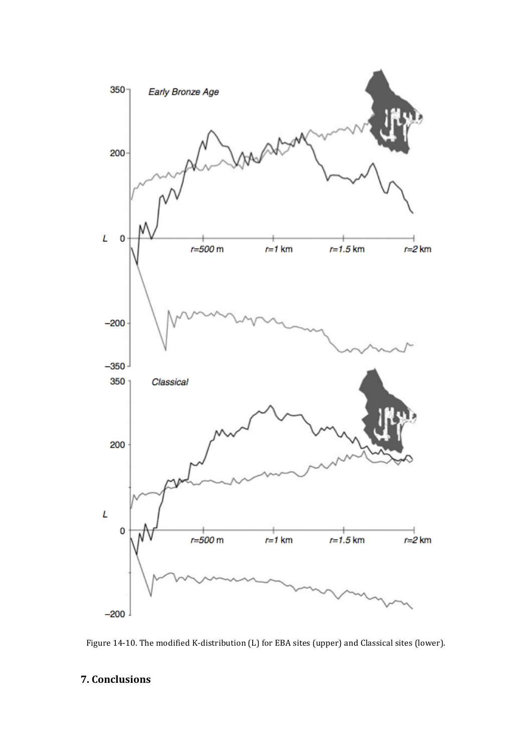

Figure 14-10. The modified K-distribution (L) for EBA sites (upper) and Classical sites (lower).

# **7. Conclusions**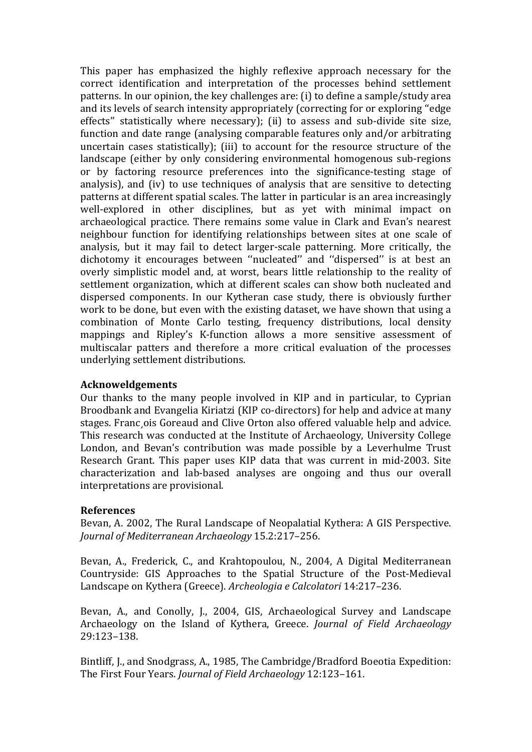This paper has emphasized the highly reflexive approach necessary for the correct identification and interpretation of the processes behind settlement patterns. In our opinion, the key challenges are: (i) to define a sample/study area and its levels of search intensity appropriately (correcting for or exploring "edge effects" statistically where necessary); (ii) to assess and sub-divide site size, function and date range (analysing comparable features only and/or arbitrating uncertain cases statistically); (iii) to account for the resource structure of the landscape (either by only considering environmental homogenous sub-regions or by factoring resource preferences into the significance-testing stage of analysis), and (iv) to use techniques of analysis that are sensitive to detecting patterns at different spatial scales. The latter in particular is an area increasingly well-explored in other disciplines, but as yet with minimal impact on archaeological practice. There remains some value in Clark and Evan's nearest neighbour function for identifying relationships between sites at one scale of analysis, but it may fail to detect larger-scale patterning. More critically, the dichotomy it encourages between "nucleated" and "dispersed" is at best an overly simplistic model and, at worst, bears little relationship to the reality of settlement organization, which at different scales can show both nucleated and dispersed components. In our Kytheran case study, there is obviously further work to be done, but even with the existing dataset, we have shown that using a combination of Monte Carlo testing, frequency distributions, local density mappings and Ripley's K-function allows a more sensitive assessment of multiscalar patters and therefore a more critical evaluation of the processes underlying settlement distributions.

### **Acknoweldgements**

Our thanks to the many people involved in KIP and in particular, to Cyprian Broodbank and Evangelia Kiriatzi (KIP co-directors) for help and advice at many stages. Franc ois Goreaud and Clive Orton also offered valuable help and advice. This research was conducted at the Institute of Archaeology, University College London, and Bevan's contribution was made possible by a Leverhulme Trust Research Grant. This paper uses KIP data that was current in mid-2003. Site characterization and lab-based analyses are ongoing and thus our overall interpretations are provisional.

#### **References**

Bevan, A. 2002, The Rural Landscape of Neopalatial Kythera: A GIS Perspective. *Journal of Mediterranean Archaeology* 15.2:217–256.

Bevan, A., Frederick, C., and Krahtopoulou, N., 2004, A Digital Mediterranean Countryside: GIS Approaches to the Spatial Structure of the Post-Medieval Landscape on Kythera (Greece). *Archeologia e Calcolatori* 14:217-236.

Bevan, A., and Conolly, J., 2004, GIS, Archaeological Survey and Landscape Archaeology on the Island of Kythera, Greece. *Journal of Field Archaeology* 29:123–138.

Bintliff, J., and Snodgrass, A., 1985, The Cambridge/Bradford Boeotia Expedition: The First Four Years. *Journal of Field Archaeology* 12:123-161.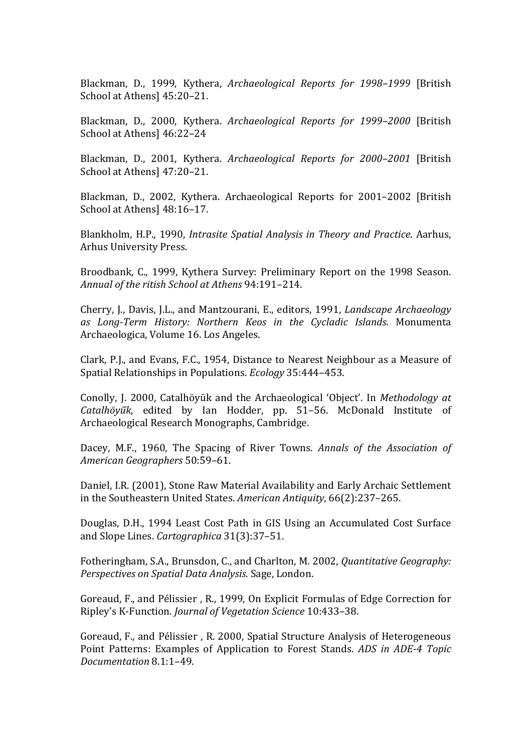Blackman, D., 1999, Kythera, *Archaeological Reports for 1998–1999* [British School at Athens] 45:20-21.

Blackman, D., 2000, Kythera. *Archaeological Reports for 1999–2000* [British School at Athens] 46:22-24

Blackman, D., 2001, Kythera. *Archaeological Reports for 2000–2001* [British School at Athens] 47:20-21.

Blackman, D., 2002, Kythera. Archaeological Reports for 2001–2002 [British School at Athens] 48:16-17.

Blankholm, H.P., 1990, *Intrasite Spatial Analysis in Theory and Practice*. Aarhus, Arhus University Press.

Broodbank, C., 1999, Kythera Survey: Preliminary Report on the 1998 Season. *Annual of the ritish School at Athens* 94:191–214.

Cherry, J., Davis, J.L., and Mantzourani, E., editors, 1991, *Landscape Archaeology as Long-Term History: Northern Keos in the Cycladic Islands*. Monumenta Archaeologica, Volume 16. Los Angeles.

Clark, P.I., and Evans, F.C., 1954, Distance to Nearest Neighbour as a Measure of Spatial Relationships in Populations. *Ecology* 35:444-453.

Conolly, J. 2000, Catalhöyük and the Archaeological 'Object'. In *Methodology at* Catalhöyük, edited by Ian Hodder, pp. 51-56. McDonald Institute of Archaeological Research Monographs, Cambridge.

Dacey, M.F., 1960. The Spacing of River Towns. *Annals of the Association of American Geographers* 50:59–61.

Daniel, I.R. (2001), Stone Raw Material Availability and Early Archaic Settlement in the Southeastern United States. *American Antiquity*, 66(2):237–265.

Douglas, D.H., 1994 Least Cost Path in GIS Using an Accumulated Cost Surface and Slope Lines. *Cartographica* 31(3):37–51.

Fotheringham, S.A., Brunsdon, C., and Charlton, M. 2002, *Quantitative Geography: Perspectives on Spatial Data Analysis.* Sage, London.

Goreaud, F., and Pélissier, R., 1999, On Explicit Formulas of Edge Correction for Ripley's K-Function. *Journal of Vegetation Science* 10:433–38.

Goreaud, F., and Pélissier, R. 2000, Spatial Structure Analysis of Heterogeneous Point Patterns: Examples of Application to Forest Stands. *ADS* in ADE-4 Topic *Documentation* 8.1:1–49.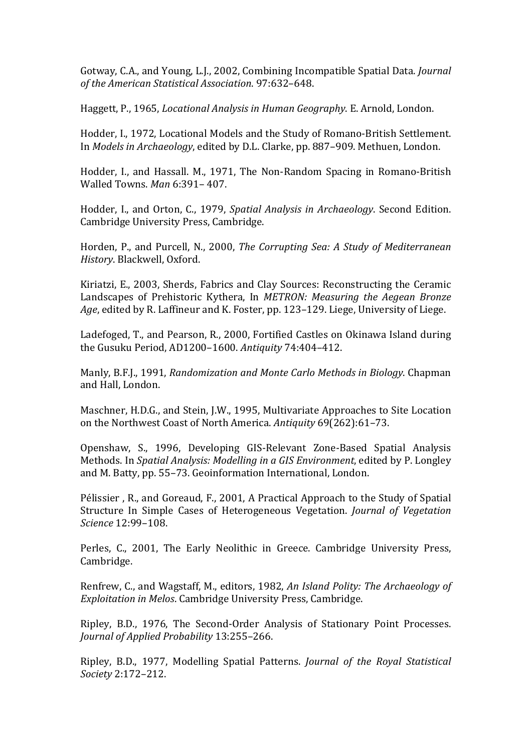Gotway, C.A., and Young, L.J., 2002, Combining Incompatible Spatial Data. *Journal of the American Statistical Association*. 97:632–648.

Haggett, P., 1965, *Locational Analysis in Human Geography*. E. Arnold, London.

Hodder, I., 1972, Locational Models and the Study of Romano-British Settlement. In *Models in Archaeology*, edited by D.L. Clarke, pp. 887–909. Methuen, London.

Hodder, I., and Hassall. M., 1971, The Non-Random Spacing in Romano-British Walled Towns. *Man* 6:391– 407.

Hodder, I., and Orton, C., 1979, *Spatial Analysis in Archaeology*. Second Edition. Cambridge University Press, Cambridge.

Horden, P., and Purcell, N., 2000, *The Corrupting Sea: A Study of Mediterranean History*. Blackwell, Oxford.

Kiriatzi, E., 2003, Sherds, Fabrics and Clay Sources: Reconstructing the Ceramic Landscapes of Prehistoric Kythera, In *METRON: Measuring the Aegean Bronze Age*, edited by R. Laffineur and K. Foster, pp. 123–129. Liege, University of Liege.

Ladefoged, T., and Pearson, R., 2000, Fortified Castles on Okinawa Island during the Gusuku Period, AD1200-1600. Antiquity 74:404-412.

Manly, B.F.J., 1991, *Randomization and Monte Carlo Methods in Biology*. Chapman and Hall, London.

Maschner, H.D.G., and Stein, J.W., 1995, Multivariate Approaches to Site Location on the Northwest Coast of North America. *Antiquity* 69(262):61–73.

Openshaw, S., 1996, Developing GIS-Relevant Zone-Based Spatial Analysis Methods. In *Spatial Analysis: Modelling in a GIS Environment*, edited by P. Longley and M. Batty, pp. 55–73. Geoinformation International, London.

Pélissier, R., and Goreaud, F., 2001, A Practical Approach to the Study of Spatial Structure In Simple Cases of Heterogeneous Vegetation. *Journal of Vegetation Science* 12:99–108.

Perles, C., 2001, The Early Neolithic in Greece. Cambridge University Press, Cambridge.

Renfrew, C., and Wagstaff, M., editors, 1982, An Island Polity: The Archaeology of *Exploitation in Melos.* Cambridge University Press, Cambridge.

Ripley, B.D., 1976, The Second-Order Analysis of Stationary Point Processes. *Journal of Applied Probability* 13:255–266.

Ripley, B.D., 1977, Modelling Spatial Patterns. *Journal of the Royal Statistical Society* 2:172–212.